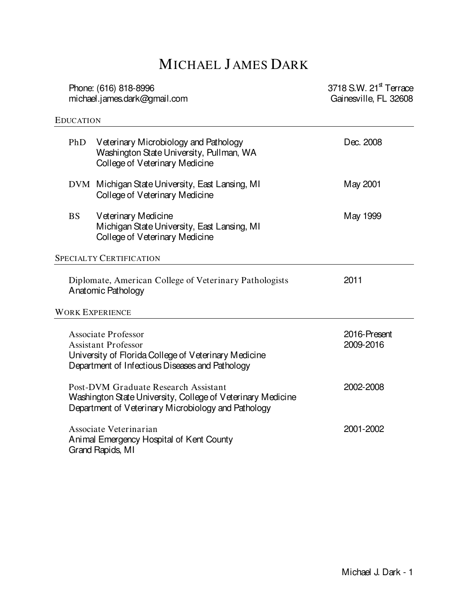# MICHAEL J AMES DARK

| Phone: (616) 818-8996<br>michael.james.dark@gmail.com                                                                                                               |                                                                                                                     | 3718 S.W. 21 <sup>st</sup> Terrace<br>Gainesville, FL 32608 |
|---------------------------------------------------------------------------------------------------------------------------------------------------------------------|---------------------------------------------------------------------------------------------------------------------|-------------------------------------------------------------|
| <b>EDUCATION</b>                                                                                                                                                    |                                                                                                                     |                                                             |
| PhD                                                                                                                                                                 | Veterinary Microbiology and Pathology<br>Washington State University, Pullman, WA<br>College of Veterinary Medicine | Dec. 2008                                                   |
|                                                                                                                                                                     | DVM Michigan State University, East Lansing, MI<br>College of Veterinary Medicine                                   | May 2001                                                    |
| <b>BS</b>                                                                                                                                                           | Veterinary Medicine<br>Michigan State University, East Lansing, MI<br>College of Veterinary Medicine                | May 1999                                                    |
|                                                                                                                                                                     | <b>SPECIALTY CERTIFICATION</b>                                                                                      |                                                             |
|                                                                                                                                                                     | Diplomate, American College of Veterinary Pathologists<br>Anatomic Pathology                                        | 2011                                                        |
|                                                                                                                                                                     | <b>WORK EXPERIENCE</b>                                                                                              |                                                             |
| <b>Associate Professor</b><br><b>Assistant Professor</b><br>University of Florida College of Veterinary Medicine<br>Department of Infectious Diseases and Pathology |                                                                                                                     | 2016-Present<br>2009-2016                                   |
| Post-DVM Graduate Research Assistant<br>Washington State University, College of Veterinary Medicine<br>Department of Veterinary Microbiology and Pathology          |                                                                                                                     | 2002-2008                                                   |
|                                                                                                                                                                     | Associate Veterinarian<br>Animal Emergency Hospital of Kent County<br>Grand Rapids, MI                              | 2001-2002                                                   |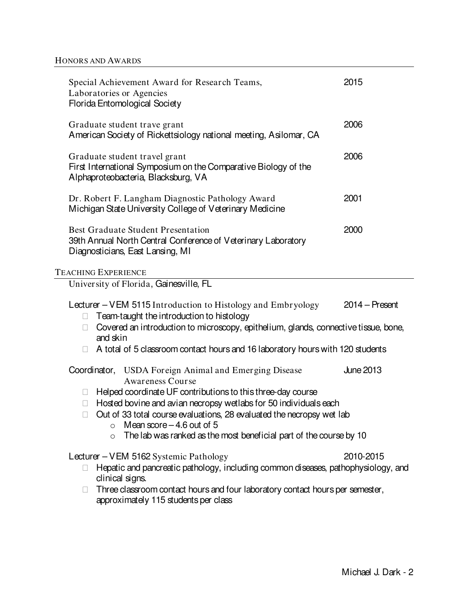| $2014 -$ Present<br>Covered an introduction to microscopy, epithelium, glands, connective tissue, bone,                                                                                                                                                                                                                                                          |  |  |
|------------------------------------------------------------------------------------------------------------------------------------------------------------------------------------------------------------------------------------------------------------------------------------------------------------------------------------------------------------------|--|--|
|                                                                                                                                                                                                                                                                                                                                                                  |  |  |
| A total of 5 classroom contact hours and 16 laboratory hours with 120 students                                                                                                                                                                                                                                                                                   |  |  |
| <b>June 2013</b><br>Coordinator,<br><b>USDA Foreign Animal and Emerging Disease</b><br><b>Awareness Course</b><br>Helped coordinate UF contributions to this three-day course<br>Hosted bovine and avian necropsy wetlabs for 50 individuals each<br>Out of 33 total course evaluations, 28 evaluated the necropsy wet lab<br>$\circ$ Mean score $-4.6$ out of 5 |  |  |
|                                                                                                                                                                                                                                                                                                                                                                  |  |  |
| 2010-2015<br>Hepatic and pancreatic pathology, including common diseases, pathophysiology, and<br>Three classroom contact hours and four laboratory contact hours per semester,                                                                                                                                                                                  |  |  |
|                                                                                                                                                                                                                                                                                                                                                                  |  |  |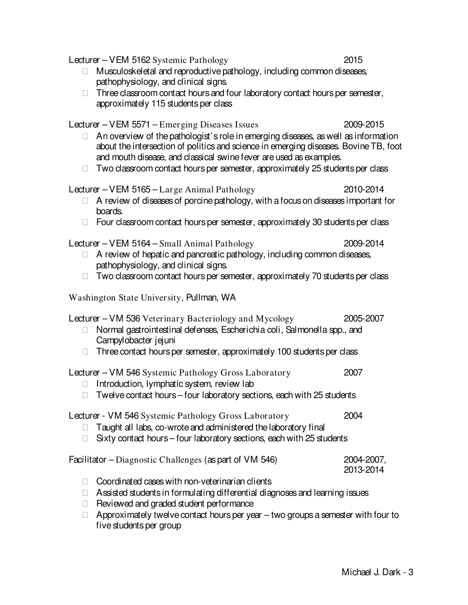| Lecturer – VEM 5162 Systemic Pathology                                                                                                                                                                                                                        | 2015                    |
|---------------------------------------------------------------------------------------------------------------------------------------------------------------------------------------------------------------------------------------------------------------|-------------------------|
| Musculoskeletal and reproductive pathology, including common diseases,<br>pathophysiology, and clinical signs.                                                                                                                                                |                         |
| Three classroom contact hours and four laboratory contact hours per semester,<br>approximately 115 students per class                                                                                                                                         |                         |
| Lecturer – VEM 5571 – Emerging Diseases Issues                                                                                                                                                                                                                | 2009-2015               |
| An overview of the pathologist's role in emerging diseases, as well as information<br>about the intersection of politics and science in emerging diseases. Bovine TB, foot<br>and mouth disease, and classical swine fever are used as examples.              |                         |
| Two classroom contact hours per semester, approximately 25 students per class                                                                                                                                                                                 |                         |
| Lecturer – VEM 5165 – Large Animal Pathology<br>A review of diseases of porcine pathology, with a focus on diseases important for<br>boards.                                                                                                                  | 2010-2014               |
| Four classroom contact hours per semester, approximately 30 students per class                                                                                                                                                                                |                         |
| Lecturer – VEM 5164 – Small Animal Pathology<br>A review of hepatic and pancreatic pathology, including common diseases,<br>pathophysiology, and clinical signs.                                                                                              | 2009-2014               |
| Two classroom contact hours per semester, approximately 70 students per class                                                                                                                                                                                 |                         |
| Washington State University, Pullman, WA                                                                                                                                                                                                                      |                         |
| Lecturer – VM 536 Veterinary Bacteriology and Mycology<br>Normal gastrointestinal defenses, Escherichia coli, Salmonella spp., and<br>Campylobacter jejuni                                                                                                    | 2005-2007               |
| Three contact hours per semester, approximately 100 students per class                                                                                                                                                                                        |                         |
| Lecturer - VM 546 Systemic Pathology Gross Laboratory<br>Introduction, lymphatic system, review lab                                                                                                                                                           | 2007                    |
| Twelve contact hours - four laboratory sections, each with 25 students                                                                                                                                                                                        |                         |
| Lecturer - VM 546 Systemic Pathology Gross Laboratory<br>Taught all labs, co-wrote and administered the laboratory final                                                                                                                                      | 2004                    |
| Sixty contact hours – four laboratory sections, each with 25 students                                                                                                                                                                                         |                         |
| Facilitator – Diagnostic Challenges (as part of VM 546)                                                                                                                                                                                                       | 2004-2007,<br>2013-2014 |
| Coordinated cases with non-veterinarian clients<br>Assisted students in formulating differential diagnoses and learning issues<br>Reviewed and graded student performance<br>Approximately twelve contact hours per year - two groups a semester with four to |                         |
| five students per group                                                                                                                                                                                                                                       |                         |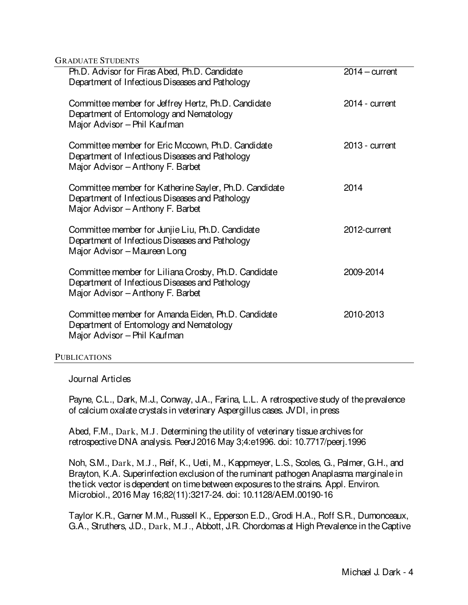GRADUATE STUDENTS

| Ph.D. Advisor for Firas Abed, Ph.D. Candidate<br>Department of Infectious Diseases and Pathology                                               | $2014 - current$ |
|------------------------------------------------------------------------------------------------------------------------------------------------|------------------|
| Committee member for Jeffrey Hertz, Ph.D. Candidate<br>Department of Entomology and Nematology<br>Major Advisor - Phil Kaufman                 | $2014$ - current |
| Committee member for Eric Mccown, Ph.D. Candidate<br>Department of Infectious Diseases and Pathology<br>Major Advisor - Anthony F. Barbet      | $2013$ - current |
| Committee member for Katherine Sayler, Ph.D. Candidate<br>Department of Infectious Diseases and Pathology<br>Major Advisor - Anthony F. Barbet | 2014             |
| Committee member for Junjie Liu, Ph.D. Candidate<br>Department of Infectious Diseases and Pathology<br>Major Advisor - Maureen Long            | 2012-current     |
| Committee member for Liliana Crosby, Ph.D. Candidate<br>Department of Infectious Diseases and Pathology<br>Major Advisor - Anthony F. Barbet   | 2009-2014        |
| Committee member for Amanda Eiden, Ph.D. Candidate<br>Department of Entomology and Nematology<br>Major Advisor - Phil Kaufman                  | 2010-2013        |

#### PUBLICATIONS

Journal Articles

Payne, C.L., Dark, M.J., Conway, J.A., Farina, L.L. A retrospective study of the prevalence of calcium oxalate crystals in veterinary Aspergillus cases. JVDI, in press

Abed, F.M., Dark, M.J. Determining the utility of veterinary tissue archives for retrospective DNA analysis. PeerJ 2016 May 3;4:e1996. doi: 10.7717/peerj.1996

Noh, S.M., Dark, M.J., Reif, K., Ueti, M., Kappmeyer, L.S., Scoles, G., Palmer, G.H., and Brayton, K.A. Superinfection exclusion of the ruminant pathogen Anaplasma marginale in the tick vector is dependent on time between exposures to the strains. Appl. Environ. Microbiol., 2016 May 16;82(11):3217-24. doi: 10.1128/AEM.00190-16

Taylor K.R., Garner M.M., Russell K., Epperson E.D., Grodi H.A., Roff S.R., Dumonceaux, G.A., Struthers, J.D., Dark, M.J., Abbott, J.R. Chordomas at High Prevalence in the Captive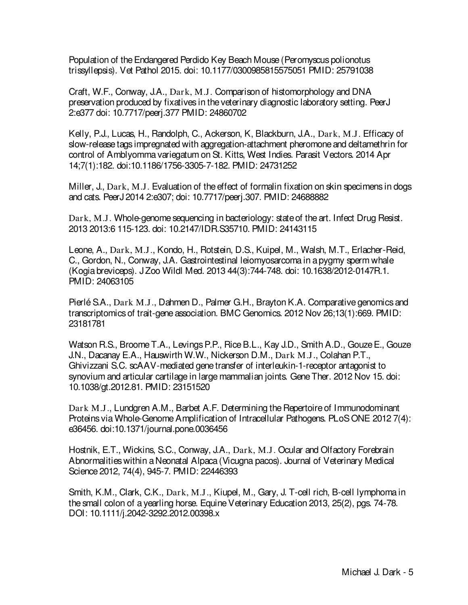Population of the Endangered Perdido Key Beach Mouse (Peromyscus polionotus trissyllepsis). Vet Pathol 2015. doi: 10.1177/0300985815575051 PMID: 25791038

Craft, W.F., Conway, J.A., Dark, M.J. Comparison of histomorphology and DNA preservation produced by fixatives in the veterinary diagnostic laboratory setting. PeerJ 2:e377 doi: 10.7717/peerj.377 PMID: 24860702

Kelly, P.J., Lucas, H., Randolph, C., Ackerson, K, Blackburn, J.A., Dark, M.J. Efficacy of slow-release tags impregnated with aggregation-attachment pheromone and deltamethrin for control of Amblyomma variegatum on St. Kitts, West Indies. Parasit Vectors. 2014 Apr 14;7(1):182. doi:10.1186/1756-3305-7-182. PMID: 24731252

Miller, J., Dark, M.J. Evaluation of the effect of formalin fixation on skin specimens in dogs and cats. PeerJ 2014 2:e307; doi: 10.7717/peerj.307. PMID: 24688882

Dark, M.J. Whole-genome sequencing in bacteriology: state of the art. Infect Drug Resist. 2013 2013:6 115-123. doi: 10.2147/IDR.S35710. PMID: 24143115

Leone, A., Dark, M.J., Kondo, H., Rotstein, D.S., Kuipel, M., Walsh, M.T., Erlacher-Reid, C., Gordon, N., Conway, J.A. Gastrointestinal leiomyosarcoma in a pygmy sperm whale (Kogia breviceps). J Zoo Wildl Med. 2013 44(3):744-748. doi: 10.1638/2012-0147R.1. PMID: 24063105

Pierlé S.A., Dark M.J., Dahmen D., Palmer G.H., Brayton K.A. Comparative genomics and transcriptomics of trait-gene association. BMC Genomics. 2012 Nov 26;13(1):669. PMID: 23181781

Watson R.S., Broome T.A., Levings P.P., Rice B.L., Kay J.D., Smith A.D., Gouze E., Gouze J.N., Dacanay E.A., Hauswirth W.W., Nickerson D.M., Dark M.J., Colahan P.T., Ghivizzani S.C. scAAV-mediated gene transfer of interleukin-1-receptor antagonist to synovium and articular cartilage in large mammalian joints. Gene Ther. 2012 Nov 15. doi: 10.1038/gt.2012.81. PMID: 23151520

Dark M.J., Lundgren A.M., Barbet A.F. Determining the Repertoire of Immunodominant Proteins via Whole-Genome Amplification of Intracellular Pathogens. PLoS ONE 2012 7(4): e36456. doi:10.1371/journal.pone.0036456

Hostnik, E.T., Wickins, S.C., Conway, J.A., Dark, M.J. Ocular and Olfactory Forebrain Abnormalities within a Neonatal Alpaca (Vicugna pacos). Journal of Veterinary Medical Science 2012, 74(4), 945-7. PMID: 22446393

Smith, K.M., Clark, C.K., Dark, M.J., Kiupel, M., Gary, J. T-cell rich, B-cell lymphoma in the small colon of a yearling horse. Equine Veterinary Education 2013, 25(2), pgs. 74-78. DOI: 10.1111/j.2042-3292.2012.00398.x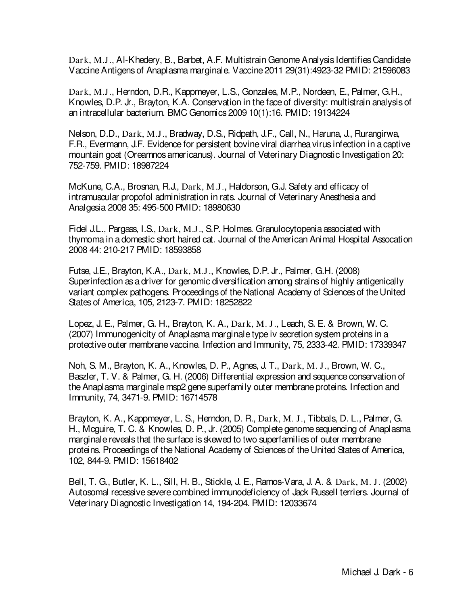Dark, M.J., Al-Khedery, B., Barbet, A.F. Multistrain Genome Analysis Identifies Candidate Vaccine Antigens of Anaplasma marginale. Vaccine 2011 29(31):4923-32 PMID: 21596083

Dark, M.J., Herndon, D.R., Kappmeyer, L.S., Gonzales, M.P., Nordeen, E., Palmer, G.H., Knowles, D.P. Jr., Brayton, K.A. Conservation in the face of diversity: multistrain analysis of an intracellular bacterium. BMC Genomics 2009 10(1):16. PMID: 19134224

Nelson, D.D., Dark, M.J., Bradway, D.S., Ridpath, J.F., Call, N., Haruna, J., Rurangirwa, F.R., Evermann, J.F. Evidence for persistent bovine viral diarrhea virus infection in a captive mountain goat (Oreamnos americanus). Journal of Veterinary Diagnostic Investigation 20: 752-759. PMID: 18987224

McKune, C.A., Brosnan, R.J., Dark, M.J., Haldorson, G.J. Safety and efficacy of intramuscular propofol administration in rats. Journal of Veterinary Anesthesia and Analgesia 2008 35: 495-500 PMID: 18980630

Fidel J.L., Pargass, I.S., Dark, M.J., S.P. Holmes. Granulocytopenia associated with thymoma in a domestic short haired cat. Journal of the American Animal Hospital Assocation 2008 44: 210-217 PMID: 18593858

Futse, J.E., Brayton, K.A., Dark, M.J., Knowles, D.P. Jr., Palmer, G.H. (2008) Superinfection as a driver for genomic diversification among strains of highly antigenically variant complex pathogens. Proceedings of the National Academy of Sciences of the United States of America, 105, 2123-7. PMID: 18252822

Lopez, J. E., Palmer, G. H., Brayton, K. A., Dark, M. J., Leach, S. E. & Brown, W. C. (2007) Immunogenicity of Anaplasma marginale type iv secretion system proteins in a protective outer membrane vaccine. Infection and Immunity, 75, 2333-42. PMID: 17339347

Noh, S. M., Brayton, K. A., Knowles, D. P., Agnes, J. T., Dark, M. J., Brown, W. C., Baszler, T. V. & Palmer, G. H. (2006) Differential expression and sequence conservation of the Anaplasma marginale msp2 gene superfamily outer membrane proteins. Infection and Immunity, 74, 3471-9. PMID: 16714578

Brayton, K. A., Kappmeyer, L. S., Herndon, D. R., Dark, M. J., Tibbals, D. L., Palmer, G. H., Mcguire, T. C. & Knowles, D. P., Jr. (2005) Complete genome sequencing of Anaplasma marginale reveals that the surface is skewed to two superfamilies of outer membrane proteins. Proceedings of the National Academy of Sciences of the United States of America, 102, 844-9. PMID: 15618402

Bell, T. G., Butler, K. L., Sill, H. B., Stickle, J. E., Ramos-Vara, J. A. & Dark, M. J. (2002) Autosomal recessive severe combined immunodeficiency of Jack Russell terriers. Journal of Veterinary Diagnostic Investigation 14, 194-204. PMID: 12033674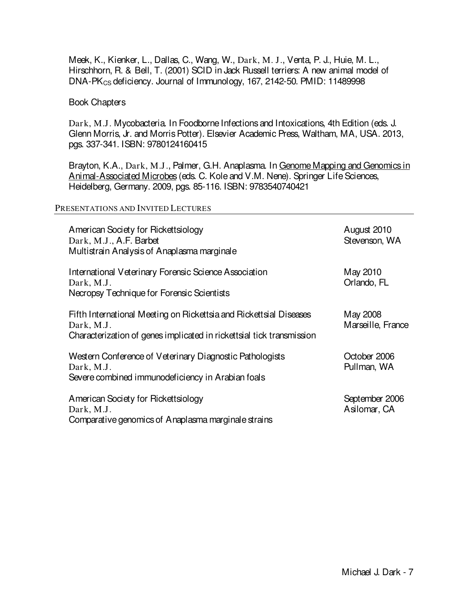Meek, K., Kienker, L., Dallas, C., Wang, W., Dark, M. J., Venta, P. J., Huie, M. L., Hirschhorn, R. & Bell, T. (2001) SCID in Jack Russell terriers: A new animal model of DNA-PK<sub>CS</sub> deficiency. Journal of Immunology, 167, 2142-50. PMID: 11489998

### Book Chapters

Dark, M.J. Mycobacteria. In Foodborne Infections and Intoxications, 4th Edition (eds. J. Glenn Morris, Jr. and Morris Potter). Elsevier Academic Press, Waltham, MA, USA. 2013, pgs. 337-341. ISBN: 9780124160415

Brayton, K.A., Dark, M.J., Palmer, G.H. Anaplasma. In Genome Mapping and Genomics in Animal-Associated Microbes (eds. C. Kole and V.M. Nene). Springer Life Sciences, Heidelberg, Germany. 2009, pgs. 85-116. ISBN: 9783540740421

#### PRESENTATIONS AND INVITED LECTURES

| American Society for Rickettsiology<br>Dark, M.J., A.F. Barbet<br>Multistrain Analysis of Anaplasma marginale                                             | August 2010<br>Stevenson, WA   |
|-----------------------------------------------------------------------------------------------------------------------------------------------------------|--------------------------------|
| International Veterinary Forensic Science Association<br>Dark, M.J.<br>Necropsy Technique for Forensic Scientists                                         | May 2010<br>Orlando, FL        |
| Fifth International Meeting on Rickettsia and Rickettsial Diseases<br>Dark, M.J.<br>Characterization of genes implicated in ricketts al tick transmission | May 2008<br>Marseille, France  |
| Western Conference of Veterinary Diagnostic Pathologists<br>Dark, M.J.<br>Severe combined immunodeficiency in Arabian foals                               | October 2006<br>Pullman, WA    |
| American Society for Rickettsiology<br>Dark, M.J.<br>Comparative genomics of Anaplasma marginale strains                                                  | September 2006<br>Asilomar, CA |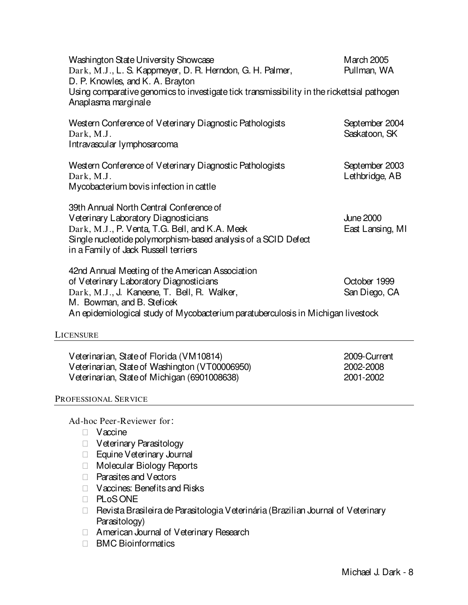| Washington State University Showcase<br>Dark, M.J., L. S. Kappmeyer, D. R. Herndon, G. H. Palmer,<br>D. P. Knowles, and K. A. Brayton<br>Using comparative genomics to investigate tick transmissibility in the rickettsial pathogen<br>Anaplasma marginale | March 2005<br>Pullman, WA              |
|-------------------------------------------------------------------------------------------------------------------------------------------------------------------------------------------------------------------------------------------------------------|----------------------------------------|
| Western Conference of Veterinary Diagnostic Pathologists<br>Dark, M.J.<br>Intravascular lymphosarcoma                                                                                                                                                       | September 2004<br>Saskatoon, SK        |
| Western Conference of Veterinary Diagnostic Pathologists<br>Dark, M.J.<br>Mycobacterium bovis infection in cattle                                                                                                                                           | September 2003<br>Lethbridge, AB       |
| 39th Annual North Central Conference of<br>Veterinary Laboratory Diagnosticians<br>Dark, M.J., P. Venta, T.G. Bell, and K.A. Meek<br>Single nucleotide polymorphism-based analysis of a SCID Defect<br>in a Family of Jack Russell terriers                 | <b>June 2000</b><br>East Lansing, MI   |
| 42nd Annual Meeting of the American Association<br>of Veterinary Laboratory Diagnosticians<br>Dark, M.J., J. Kaneene, T. Bell, R. Walker,<br>M. Bowman, and B. Steficek<br>An epidemiological study of Mycobacterium paratuberculosis in Michigan livestock | October 1999<br>San Diego, CA          |
| LICENSURE                                                                                                                                                                                                                                                   |                                        |
| Veterinarian, State of Florida (VM10814)<br>Veterinarian, State of Washington (VT00006950)<br>Veterinarian, State of Michigan (6901008638)                                                                                                                  | 2009-Current<br>2002-2008<br>2001-2002 |

### PROFESSIONAL SERVICE

Ad-hoc Peer-Reviewer for:

**Vaccine**  Veterinary Parasitology Equine Veterinary Journal Molecular Biology Reports Parasites and Vectors Vaccines: Benefits and Risks PLoS ONE Revista Brasileira de Parasitologia Veterinária (Brazilian Journal of Veterinary Parasitology) American Journal of Veterinary Research BMC Bioinformatics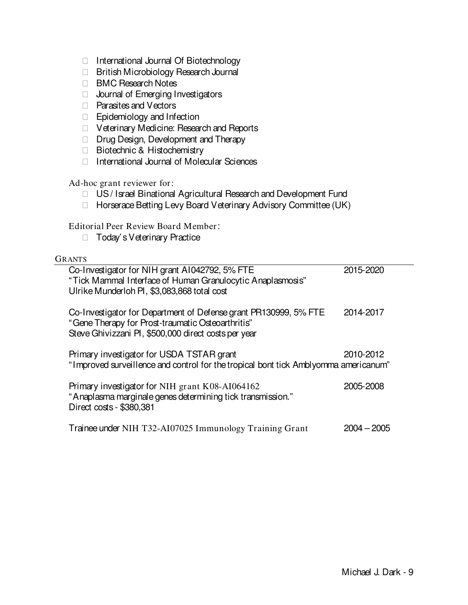| International Journal Of Biotechnology<br>British Microbiology Research Journal<br><b>BMC Research Notes</b><br>Journal of Emerging Investigators<br>Parasites and Vectors<br>Epidemiology and Infection<br>Veterinary Medicine: Research and Reports<br>Drug Design, Development and Therapy<br>Biotechnic & Histochemistry<br>International Journal of Molecular Sciences |               |
|-----------------------------------------------------------------------------------------------------------------------------------------------------------------------------------------------------------------------------------------------------------------------------------------------------------------------------------------------------------------------------|---------------|
| Ad-hoc grant reviewer for:<br>US/Israel Binational Agricultural Research and Development Fund<br>Horserace Betting Levy Board Veterinary Advisory Committee (UK)                                                                                                                                                                                                            |               |
| <b>Editorial Peer Review Board Member:</b><br>Today's Veterinary Practice                                                                                                                                                                                                                                                                                                   |               |
| <b>GRANTS</b>                                                                                                                                                                                                                                                                                                                                                               |               |
| Co-Investigator for NIH grant A1042792, 5% FTE<br>"Tick Mammal Interface of Human Granulocytic Anaplasmosis"<br>Ulrike Munderloh PI, \$3,083,868 total cost                                                                                                                                                                                                                 | 2015-2020     |
| Co-Investigator for Department of Defense grant PR130999, 5% FTE<br>"Gene Therapy for Prost-traumatic Osteoarthritis"<br>Steve Ghivizzani PI, \$500,000 direct costs per year                                                                                                                                                                                               | 2014-2017     |
| Primary investigator for USDA TSTAR grant<br>"Improved surveillence and control for the tropical bont tick Amblyomma americanum"                                                                                                                                                                                                                                            | 2010-2012     |
| Primary investigator for NIH grant K08-AI064162<br>"Anaplasma marginale genes determining tick transmission."<br>Direct costs - \$380,381                                                                                                                                                                                                                                   | 2005-2008     |
| Trainee under NIH T32-AI07025 Immunology Training Grant                                                                                                                                                                                                                                                                                                                     | $2004 - 2005$ |